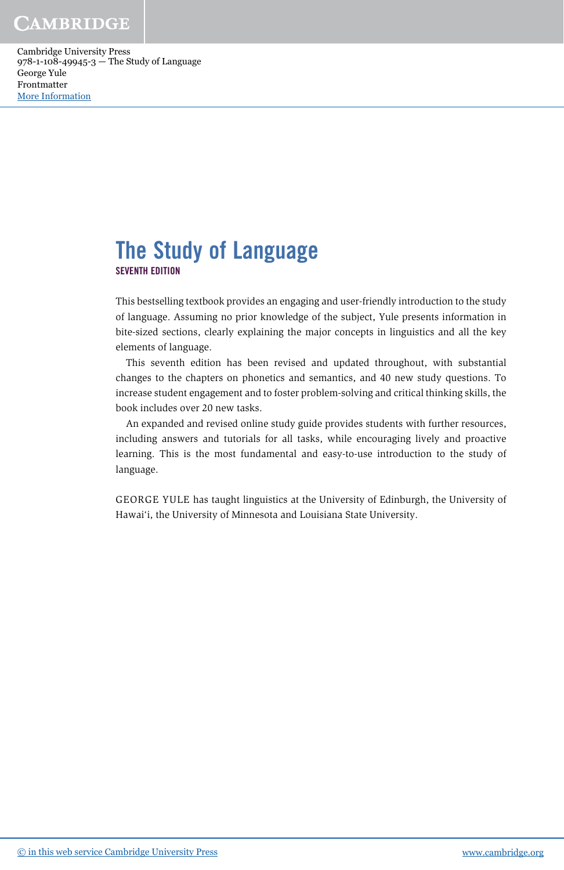### The Study of Language SEVENTH EDITION

This bestselling textbook provides an engaging and user-friendly introduction to the study of language. Assuming no prior knowledge of the subject, Yule presents information in bite-sized sections, clearly explaining the major concepts in linguistics and all the key elements of language.

This seventh edition has been revised and updated throughout, with substantial changes to the chapters on phonetics and semantics, and 40 new study questions. To increase student engagement and to foster problem-solving and critical thinking skills, the book includes over 20 new tasks.

An expanded and revised online study guide provides students with further resources, including answers and tutorials for all tasks, while encouraging lively and proactive learning. This is the most fundamental and easy-to-use introduction to the study of language.

GEORGE YULE has taught linguistics at the University of Edinburgh, the University of Hawai'i, the University of Minnesota and Louisiana State University.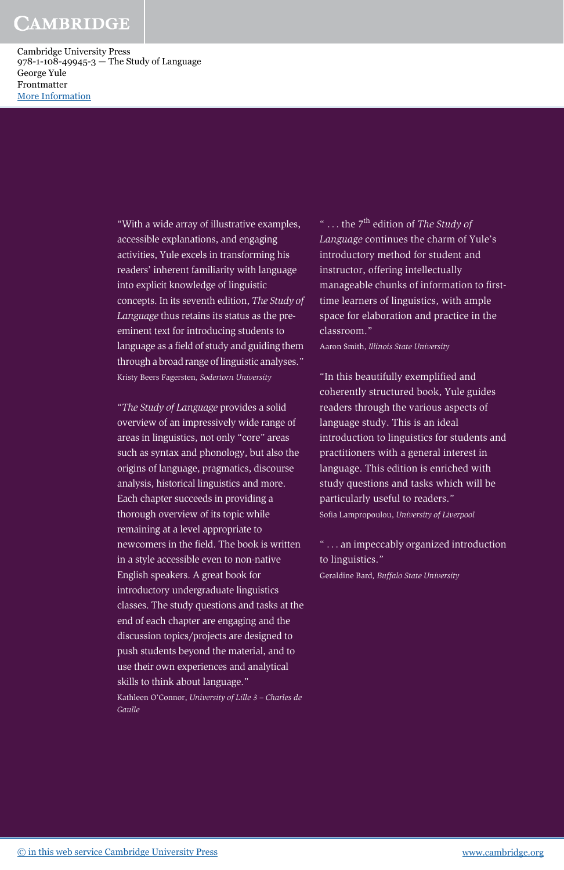Cambridge University Press 978-1-108-49945-3 — The Study of Language George Yule Frontmatter [More Information](www.cambridge.org/9781108499453)

> "With a wide array of illustrative examples, accessible explanations, and engaging activities, Yule excels in transforming his readers' inherent familiarity with language into explicit knowledge of linguistic concepts. In its seventh edition, The Study of Language thus retains its status as the preeminent text for introducing students to language as a field of study and guiding them through a broad range of linguistic analyses." Kristy Beers Fagersten, Sodertorn University

> "The Study of Language provides a solid overview of an impressively wide range of areas in linguistics, not only "core" areas such as syntax and phonology, but also the origins of language, pragmatics, discourse analysis, historical linguistics and more. Each chapter succeeds in providing a thorough overview of its topic while remaining at a level appropriate to newcomers in the field. The book is written in a style accessible even to non-native English speakers. A great book for introductory undergraduate linguistics classes. The study questions and tasks at the end of each chapter are engaging and the discussion topics/projects are designed to push students beyond the material, and to use their own experiences and analytical skills to think about language." Kathleen O'Connor, University of Lille 3 – Charles de

" ... the  $7<sup>th</sup>$  edition of The Study of Language continues the charm of Yule's introductory method for student and instructor, offering intellectually manageable chunks of information to firsttime learners of linguistics, with ample space for elaboration and practice in the classroom."

Aaron Smith, Illinois State University

"In this beautifully exemplified and coherently structured book, Yule guides readers through the various aspects of language study. This is an ideal introduction to linguistics for students and practitioners with a general interest in language. This edition is enriched with study questions and tasks which will be particularly useful to readers." Sofia Lampropoulou, University of Liverpool

" ... an impeccably organized introduction to linguistics." Geraldine Bard, Buffalo State University

Gaulle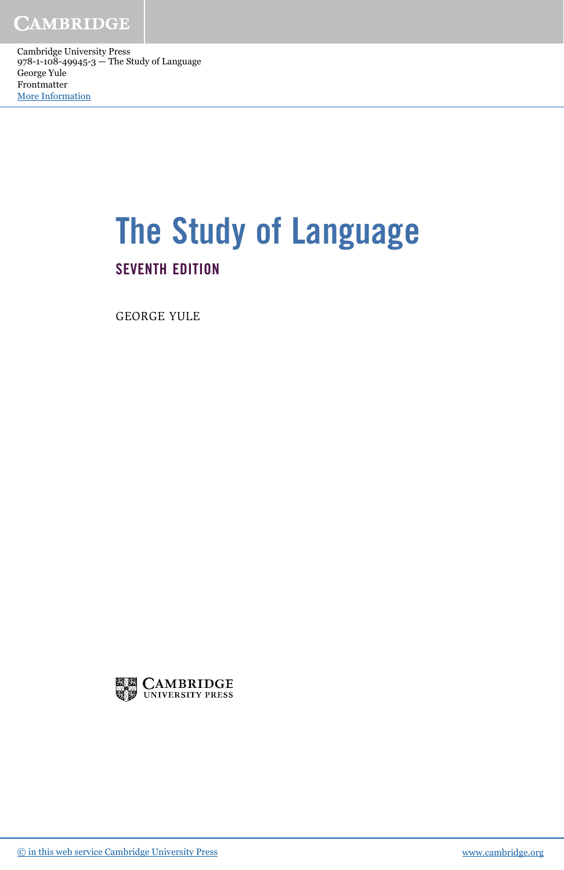# The Study of Language

#### SEVENTH EDITION

GEORGE YULE



[© in this web service Cambridge University Press](www.cambridge.org) www.cambridge.org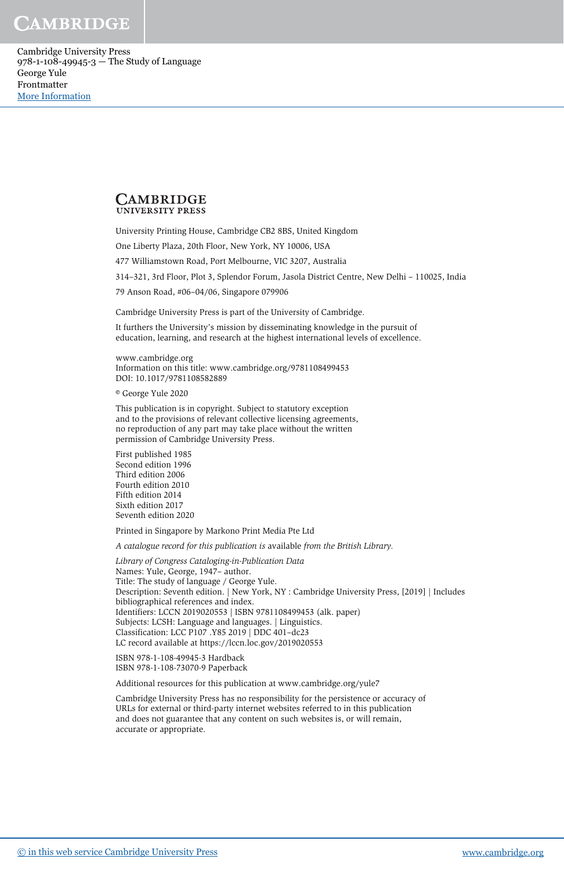#### **CAMBRIDGE UNIVERSITY PRESS**

University Printing House, Cambridge CB2 8BS, United Kingdom One Liberty Plaza, 20th Floor, New York, NY 10006, USA 477 Williamstown Road, Port Melbourne, VIC 3207, Australia 314–321, 3rd Floor, Plot 3, Splendor Forum, Jasola District Centre, New Delhi – 110025, India 79 Anson Road, #06–04/06, Singapore 079906

Cambridge University Press is part of the University of Cambridge.

It furthers the University's mission by disseminating knowledge in the pursuit of education, learning, and research at the highest international levels of excellence.

www.cambridge.org Information on this title: www.cambridge.org/9781108499453 DOI: 10.1017/9781108582889

© George Yule 2020

This publication is in copyright. Subject to statutory exception and to the provisions of relevant collective licensing agreements, no reproduction of any part may take place without the written permission of Cambridge University Press.

First published 1985 Second edition 1996 Third edition 2006 Fourth edition 2010 Fifth edition 2014 Sixth edition 2017 Seventh edition 2020

Printed in Singapore by Markono Print Media Pte Ltd

A catalogue record for this publication is available from the British Library.

Library of Congress Cataloging-in-Publication Data Names: Yule, George, 1947– author.

Title: The study of language / George Yule. Description: Seventh edition. | New York, NY : Cambridge University Press, [2019] | Includes bibliographical references and index. Identifiers: LCCN 2019020553 | ISBN 9781108499453 (alk. paper) Subjects: LCSH: Language and languages. | Linguistics. Classification: LCC P107 .Y85 2019 | DDC 401–dc23 LC record available at https://lccn.loc.gov/2019020553

ISBN 978-1-108-49945-3 Hardback ISBN 978-1-108-73070-9 Paperback

Additional resources for this publication at www.cambridge.org/yule7

Cambridge University Press has no responsibility for the persistence or accuracy of URLs for external or third-party internet websites referred to in this publication and does not guarantee that any content on such websites is, or will remain, accurate or appropriate.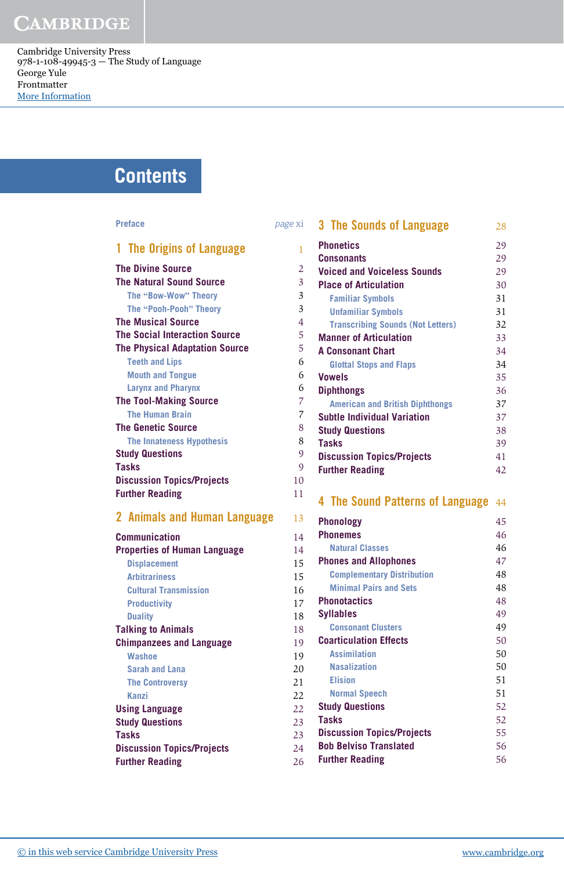# **Contents**

#### Preface page is a page of the page  $p$

| 1 The Origins of Language             | 1              |
|---------------------------------------|----------------|
| <b>The Divine Source</b>              | $\overline{2}$ |
| <b>The Natural Sound Source</b>       | 3              |
| The "Bow-Wow" Theory                  | 3              |
| <b>The "Pooh-Pooh" Theory</b>         | 3              |
| <b>The Musical Source</b>             | $\overline{4}$ |
| <b>The Social Interaction Source</b>  | 5              |
| <b>The Physical Adaptation Source</b> | 5              |
| <b>Teeth and Lips</b>                 | 6              |
| <b>Mouth and Tongue</b>               | 6              |
| <b>Larynx and Pharynx</b>             | 6              |
| <b>The Tool-Making Source</b>         | $\overline{7}$ |
| <b>The Human Brain</b>                | 7              |
| <b>The Genetic Source</b>             | 8              |
| <b>The Innateness Hypothesis</b>      | 8              |
| <b>Study Questions</b>                | 9              |
| <b>Tasks</b>                          | 9              |
| <b>Discussion Topics/Projects</b>     | 10             |
| <b>Further Reading</b>                | 11             |
|                                       |                |

#### 2 Animals and Human Language 13

| Communication                       | 14 |
|-------------------------------------|----|
| <b>Properties of Human Language</b> | 14 |
| <b>Displacement</b>                 | 15 |
| <b>Arbitrariness</b>                | 15 |
| <b>Cultural Transmission</b>        | 16 |
| <b>Productivity</b>                 | 17 |
| <b>Duality</b>                      | 18 |
| <b>Talking to Animals</b>           | 18 |
| <b>Chimpanzees and Language</b>     | 19 |
| <b>Washoe</b>                       | 19 |
| <b>Sarah and Lana</b>               | 20 |
| <b>The Controversy</b>              | 21 |
| Kanzi                               | 22 |
| <b>Using Language</b>               | 22 |
| <b>Study Questions</b>              | 23 |
| Tasks                               | 23 |
| <b>Discussion Topics/Projects</b>   | 24 |
| <b>Further Reading</b>              | 26 |
|                                     |    |

| 3 The Sounds of Language                       |
|------------------------------------------------|
| <b>Phonetics</b>                               |
| <b>Consonants</b>                              |
| <b>Voiced and Voiceless Sounds</b>             |
| <b>Place of Articulation</b>                   |
| <b>Familiar Symbols</b>                        |
| <b>Unfamiliar Symbols</b>                      |
| <b>Transcribing Sounds (Not Letters)</b>       |
| <b>Manner of Articulation</b>                  |
| <b>A Consonant Chart</b>                       |
| <b>Glottal Stops and Flaps</b>                 |
| <b>Vowels</b>                                  |
| <b>Diphthongs</b>                              |
| <b>American and British Diphthongs</b>         |
| <b>Subtle Individual Variation</b>             |
| <b>Study Questions</b>                         |
| <b>Tasks</b>                                   |
| <b>Discussion Topics/Projects</b>              |
| <b>Further Reading</b>                         |
|                                                |
| <b>The Sound Patterns of Language</b> 44<br>Δ. |

#### **4 The Sound Patterns of Language** 44

| ΙJ | Phonology                         | 45 |
|----|-----------------------------------|----|
| 14 | Phonemes                          | 46 |
| 14 | <b>Natural Classes</b>            | 46 |
| 15 | <b>Phones and Allophones</b>      | 47 |
| 15 | <b>Complementary Distribution</b> | 48 |
| 16 | <b>Minimal Pairs and Sets</b>     | 48 |
| 17 | <b>Phonotactics</b>               | 48 |
| 18 | <b>Syllables</b>                  | 49 |
| 18 | <b>Consonant Clusters</b>         | 49 |
| 19 | <b>Coarticulation Effects</b>     | 50 |
| 19 | <b>Assimilation</b>               | 50 |
| 20 | <b>Nasalization</b>               | 50 |
| 21 | <b>Elision</b>                    | 51 |
| 22 | <b>Normal Speech</b>              | 51 |
| 22 | <b>Study Questions</b>            | 52 |
| 23 | <b>Tasks</b>                      | 52 |
| 23 | <b>Discussion Topics/Projects</b> | 55 |
| 24 | <b>Bob Belviso Translated</b>     | 56 |
| 26 | <b>Further Reading</b>            | 56 |
|    |                                   |    |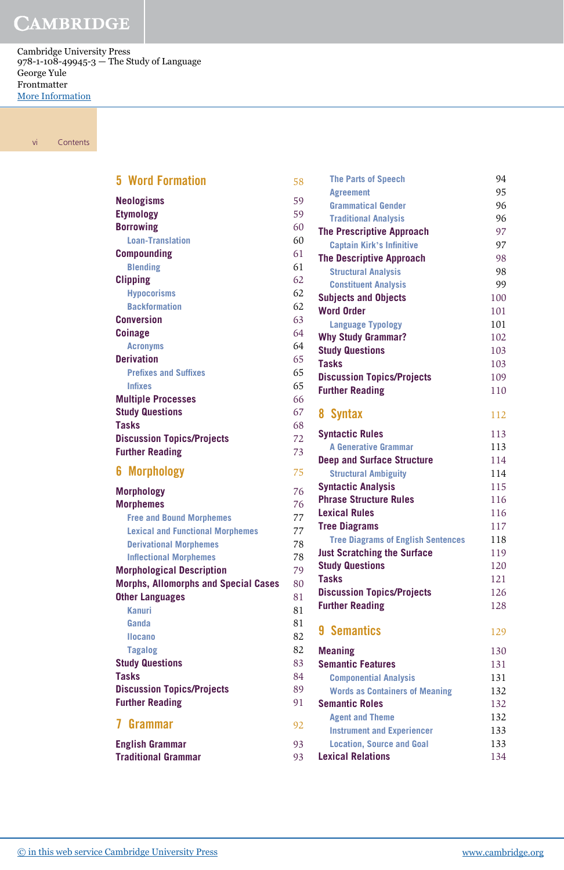Cambridge University Press 978-1-108-49945-3 — The Study of Language George Yule Frontmatter [More Information](www.cambridge.org/9781108499453)

vi Contents

| <b>5</b> Word Formation                     | 58 |
|---------------------------------------------|----|
| <b>Neologisms</b>                           | 59 |
| <b>Etymology</b>                            | 59 |
| <b>Borrowing</b>                            | 60 |
| <b>Loan-Translation</b>                     | 60 |
| <b>Compounding</b>                          | 61 |
| <b>Blending</b>                             | 61 |
| <b>Clipping</b>                             | 62 |
| <b>Hypocorisms</b>                          | 62 |
| <b>Backformation</b>                        | 62 |
| <b>Conversion</b>                           | 63 |
| <b>Coinage</b>                              | 64 |
| <b>Acronyms</b>                             | 64 |
| <b>Derivation</b>                           | 65 |
| <b>Prefixes and Suffixes</b>                | 65 |
| <b>Infixes</b>                              | 65 |
| <b>Multiple Processes</b>                   | 66 |
| <b>Study Questions</b>                      | 67 |
| <b>Tasks</b>                                | 68 |
| <b>Discussion Topics/Projects</b>           | 72 |
| <b>Further Reading</b>                      | 73 |
| <b>Morphology</b><br>6                      | 75 |
| <b>Morphology</b>                           | 76 |
| <b>Morphemes</b>                            | 76 |
| <b>Free and Bound Morphemes</b>             | 77 |
| <b>Lexical and Functional Morphemes</b>     | 77 |
| <b>Derivational Morphemes</b>               | 78 |
| <b>Inflectional Morphemes</b>               | 78 |
| <b>Morphological Description</b>            | 79 |
| <b>Morphs, Allomorphs and Special Cases</b> | 80 |
| <b>Other Languages</b>                      | 81 |
| Kanuri                                      | 81 |
| <b>Ganda</b>                                | 81 |
| <b>Ilocano</b>                              | 82 |
| <b>Tagalog</b>                              | 82 |
| <b>Study Questions</b>                      | 83 |
| <b>Tasks</b>                                | 84 |
| <b>Discussion Topics/Projects</b>           | 89 |
| <b>Further Reading</b>                      | 91 |
| 7 Grammar                                   | 92 |
| <b>English Grammar</b>                      | 93 |
| <b>Traditional Grammar</b>                  | 93 |

| 58              | <b>The Parts of Speech</b>                | 94  |
|-----------------|-------------------------------------------|-----|
|                 | <b>Agreement</b>                          | 95  |
| 59              | <b>Grammatical Gender</b>                 | 96  |
| 59              | <b>Traditional Analysis</b>               | 96  |
| 50              | <b>The Prescriptive Approach</b>          | 97  |
| 50              | <b>Captain Kirk's Infinitive</b>          | 97  |
| 51              | <b>The Descriptive Approach</b>           | 98  |
| 51              | <b>Structural Analysis</b>                | 98  |
| 52              | <b>Constituent Analysis</b>               | 99  |
| 52              | <b>Subjects and Objects</b>               | 100 |
| 52              | <b>Word Order</b>                         | 101 |
| 53              | <b>Language Typology</b>                  | 101 |
| 54              | <b>Why Study Grammar?</b>                 | 102 |
| 54              | <b>Study Questions</b>                    | 103 |
| 55              | <b>Tasks</b>                              | 103 |
| 55              | <b>Discussion Topics/Projects</b>         | 109 |
| 55              | <b>Further Reading</b>                    | 110 |
| 56              |                                           |     |
| 57              | 8 Syntax                                  | 112 |
| 58<br>72        | <b>Syntactic Rules</b>                    | 113 |
| 73              | <b>A Generative Grammar</b>               | 113 |
|                 | <b>Deep and Surface Structure</b>         | 114 |
| 75              | <b>Structural Ambiguity</b>               | 114 |
| 76              | <b>Syntactic Analysis</b>                 | 115 |
| 76              | <b>Phrase Structure Rules</b>             | 116 |
| 77              | <b>Lexical Rules</b>                      | 116 |
| 77              | <b>Tree Diagrams</b>                      | 117 |
| 78              | <b>Tree Diagrams of English Sentences</b> | 118 |
| 78              | <b>Just Scratching the Surface</b>        | 119 |
| 79              | <b>Study Questions</b>                    | 120 |
| 80 <sup>°</sup> | <b>Tasks</b>                              | 121 |
| 31              | <b>Discussion Topics/Projects</b>         | 126 |
| 31              | <b>Further Reading</b>                    | 128 |
| $\overline{31}$ |                                           |     |
| 32              | <b>9</b> Semantics                        | 129 |
| 32              | <b>Meaning</b>                            | 130 |
| $\overline{33}$ | <b>Semantic Features</b>                  | 131 |
| 34              | <b>Componential Analysis</b>              | 131 |
| 39              | <b>Words as Containers of Meaning</b>     | 132 |
| $\overline{1}$  | <b>Semantic Roles</b>                     | 132 |
|                 | <b>Agent and Theme</b>                    | 132 |
| $\overline{2}$  | <b>Instrument and Experiencer</b>         | 133 |
| 3 <sup>3</sup>  | <b>Location, Source and Goal</b>          | 133 |
| $3^{3}$         | <b>Lexical Relations</b>                  | 134 |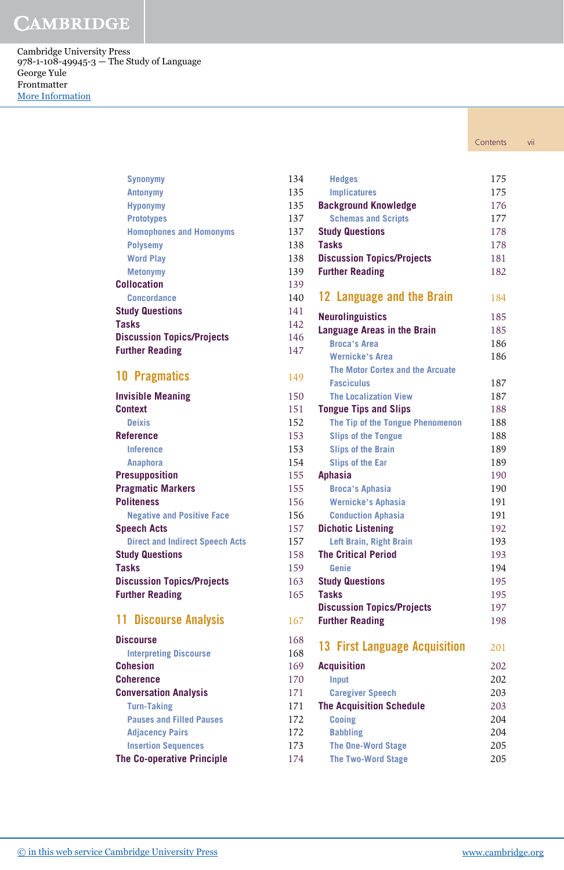Cambridge University Press 978-1-108-49945-3 — The Study of Language George Yule Frontmatter [More Information](www.cambridge.org/9781108499453)

Synonymy

| Contents | VII |
|----------|-----|
|          |     |

| <b>Antonymy</b>                        | 135 |
|----------------------------------------|-----|
| <b>Hyponymy</b>                        | 135 |
| <b>Prototypes</b>                      | 137 |
| <b>Homophones and Homonyms</b>         | 137 |
| <b>Polysemy</b>                        | 138 |
| <b>Word Play</b>                       | 138 |
| <b>Metonymy</b>                        | 139 |
| <b>Collocation</b>                     | 139 |
| <b>Concordance</b>                     | 140 |
| <b>Study Questions</b>                 | 141 |
| <b>Tasks</b>                           | 142 |
| <b>Discussion Topics/Projects</b>      | 146 |
| <b>Further Reading</b>                 | 147 |
| <b>10 Pragmatics</b>                   | 149 |
| <b>Invisible Meaning</b>               | 150 |
| <b>Context</b>                         | 151 |
| <b>Deixis</b>                          | 152 |
| <b>Reference</b>                       | 153 |
| <b>Inference</b>                       | 153 |
| <b>Anaphora</b>                        | 154 |
| <b>Presupposition</b>                  | 155 |
| <b>Pragmatic Markers</b>               | 155 |
| <b>Politeness</b>                      | 156 |
| <b>Negative and Positive Face</b>      | 156 |
| <b>Speech Acts</b>                     | 157 |
| <b>Direct and Indirect Speech Acts</b> | 157 |
| <b>Study Questions</b>                 | 158 |
| <b>Tasks</b>                           | 159 |
| <b>Discussion Topics/Projects</b>      | 163 |
| <b>Further Reading</b>                 | 165 |

#### 11 Discourse Analysis

| <b>Discourse</b>                  | 168 |
|-----------------------------------|-----|
| <b>Interpreting Discourse</b>     | 168 |
| Cohesion                          | 169 |
| <b>Coherence</b>                  | 170 |
| <b>Conversation Analysis</b>      | 171 |
| <b>Turn-Taking</b>                | 171 |
| <b>Pauses and Filled Pauses</b>   | 172 |
| <b>Adjacency Pairs</b>            | 172 |
| <b>Insertion Sequences</b>        | 173 |
| <b>The Co-operative Principle</b> | 174 |

| 134 | <b>Hedges</b>                      | 175 |  |  |
|-----|------------------------------------|-----|--|--|
| 135 | <b>Implicatures</b>                | 175 |  |  |
| 135 | <b>Background Knowledge</b>        |     |  |  |
| 137 | <b>Schemas and Scripts</b>         | 177 |  |  |
| 137 | <b>Study Questions</b>             | 178 |  |  |
| 138 | <b>Tasks</b>                       | 178 |  |  |
| 138 | <b>Discussion Topics/Projects</b>  | 181 |  |  |
| 139 | <b>Further Reading</b>             | 182 |  |  |
| 139 |                                    |     |  |  |
| 140 | 12 Language and the Brain          | 184 |  |  |
| 141 | <b>Neurolinguistics</b>            | 185 |  |  |
| 142 | <b>Language Areas in the Brain</b> | 185 |  |  |
| 146 | <b>Broca's Area</b>                | 186 |  |  |
| 147 | <b>Wernicke's Area</b>             | 186 |  |  |
|     | The Motor Cortex and the Arcuate   |     |  |  |
| 149 | <b>Fasciculus</b>                  |     |  |  |
|     |                                    | 187 |  |  |
| 150 | <b>The Localization View</b>       | 187 |  |  |
| 151 | <b>Tongue Tips and Slips</b>       | 188 |  |  |
| 152 | The Tip of the Tongue Phenomenon   | 188 |  |  |
| 153 | <b>Slips of the Tongue</b>         | 188 |  |  |
| 153 | <b>Slips of the Brain</b>          | 189 |  |  |
| 154 | <b>Slips of the Ear</b>            | 189 |  |  |
| 155 | <b>Aphasia</b>                     | 190 |  |  |
| 155 | <b>Broca's Aphasia</b>             | 190 |  |  |
| 156 | <b>Wernicke's Aphasia</b>          | 191 |  |  |
| 156 | <b>Conduction Aphasia</b>          | 191 |  |  |
| 157 | <b>Dichotic Listening</b>          | 192 |  |  |
| 157 | Left Brain, Right Brain            | 193 |  |  |
| 158 | <b>The Critical Period</b>         | 193 |  |  |
| 159 | Genie                              | 194 |  |  |
| 163 | <b>Study Questions</b>             | 195 |  |  |
| 165 | <b>Tasks</b>                       | 195 |  |  |
|     | <b>Discussion Topics/Projects</b>  | 197 |  |  |
| 167 | <b>Further Reading</b>             | 198 |  |  |
| 168 | 13 First Language Acquisition      | 201 |  |  |
| 168 |                                    |     |  |  |
| 169 | <b>Acquisition</b>                 | 202 |  |  |
| 170 | <b>Input</b>                       | 202 |  |  |
| 171 | <b>Caregiver Speech</b>            | 203 |  |  |
| 171 | <b>The Acquisition Schedule</b>    | 203 |  |  |
| 172 | <b>Cooing</b>                      | 204 |  |  |
| 172 | <b>Babbling</b>                    | 204 |  |  |
| 173 | <b>The One-Word Stage</b>          | 205 |  |  |
| 174 | <b>The Two-Word Stage</b>          | 205 |  |  |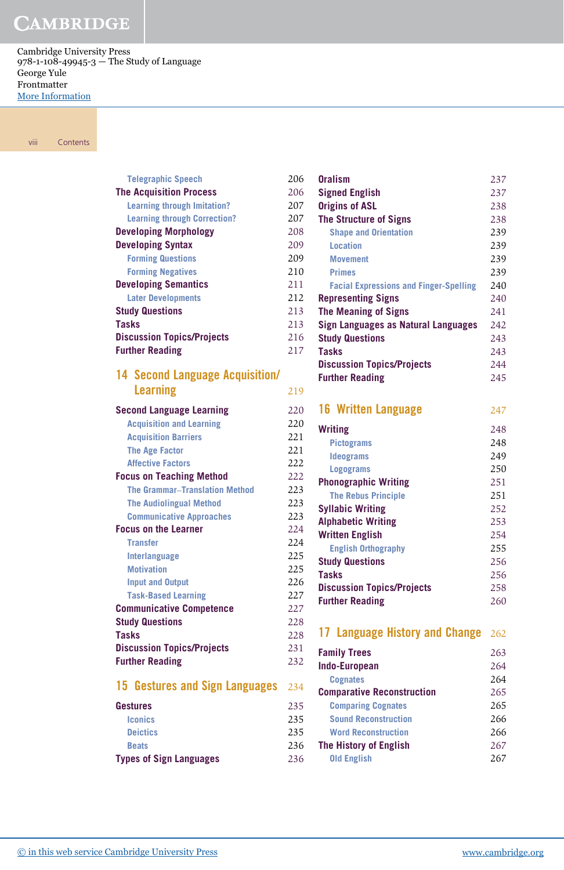Cambridge University Press 978-1-108-49945-3 — The Study of Language George Yule Frontmatter [More Information](www.cambridge.org/9781108499453)

viii Contents

| <b>Telegraphic Speech</b>              | 206  |
|----------------------------------------|------|
| <b>The Acquisition Process</b>         | 206  |
| <b>Learning through Imitation?</b>     | 207  |
| <b>Learning through Correction?</b>    | 207  |
| <b>Developing Morphology</b>           | 208  |
| <b>Developing Syntax</b>               | 209  |
| <b>Forming Questions</b>               | 209  |
| <b>Forming Negatives</b>               | 210  |
| <b>Developing Semantics</b>            | 211  |
| <b>Later Developments</b>              | 2.12 |
| <b>Study Questions</b>                 | 213  |
| <b>Tasks</b>                           | 213  |
| <b>Discussion Topics/Projects</b>      | 216  |
| <b>Further Reading</b>                 | 217  |
| <b>14 Second Language Acquisition/</b> |      |
| <b>Learning</b>                        | 219  |
| <b>Second Language Learning</b>        | 220  |
| <b>Acquisition and Learning</b>        | 220  |
| <b>Acquisition Barriers</b>            | 221  |
| <b>The Age Factor</b>                  | 221  |
| <b>Affective Factors</b>               | 222  |
| <b>Focus on Teaching Method</b>        | 222  |
| <b>The Grammar-Translation Method</b>  | 223  |
| <b>The Audiolingual Method</b>         | 223  |
| <b>Communicative Approaches</b>        | 223  |
| <b>Focus on the Learner</b>            | 224  |
| <b>Transfer</b>                        | 224  |
| Interlanguage                          | 225  |
| <b>Motivation</b>                      | 225  |
| <b>Input and Output</b>                | 226  |
| <b>Task-Based Learning</b>             | 227  |
| <b>Communicative Competence</b>        | 227  |
| <b>Study Questions</b>                 | 228  |
| <b>Tasks</b>                           | 228  |
| <b>Discussion Topics/Projects</b>      | 231  |
| <b>Further Reading</b>                 | 232  |
| 15 Gestures and Sign Languages         | 234  |
| <b>Gestures</b>                        | 235  |
| <b>Iconics</b>                         | 235  |
| <b>Deictics</b>                        | 235  |

| <b>Telegraphic Speech</b>              | 206 | <b>Oralism</b>                                | 237 |
|----------------------------------------|-----|-----------------------------------------------|-----|
| <b>The Acquisition Process</b>         | 206 | <b>Signed English</b>                         | 237 |
| <b>Learning through Imitation?</b>     | 207 | <b>Origins of ASL</b>                         | 238 |
| <b>Learning through Correction?</b>    | 207 | <b>The Structure of Signs</b>                 | 238 |
| <b>Developing Morphology</b>           | 208 | <b>Shape and Orientation</b>                  | 239 |
| <b>Developing Syntax</b>               | 209 | Location                                      | 239 |
| <b>Forming Questions</b>               | 209 | <b>Movement</b>                               | 239 |
| <b>Forming Negatives</b>               | 210 | <b>Primes</b>                                 | 239 |
| <b>Developing Semantics</b>            | 211 | <b>Facial Expressions and Finger-Spelling</b> | 240 |
| <b>Later Developments</b>              | 212 | <b>Representing Signs</b>                     | 240 |
| <b>Study Questions</b>                 | 213 | <b>The Meaning of Signs</b>                   | 241 |
| <b>Tasks</b>                           | 213 | <b>Sign Languages as Natural Languages</b>    | 242 |
| <b>Discussion Topics/Projects</b>      | 216 | <b>Study Questions</b>                        | 243 |
| <b>Further Reading</b>                 | 217 | <b>Tasks</b>                                  | 243 |
|                                        |     | <b>Discussion Topics/Projects</b>             | 244 |
| <b>14 Second Language Acquisition/</b> |     | <b>Further Reading</b>                        | 245 |
| <b>Learning</b>                        | 219 |                                               |     |
| <b>Second Language Learning</b>        | 220 | <b>16 Written Language</b>                    | 247 |
| <b>Acquisition and Learning</b>        | 220 | <b>Writing</b>                                | 248 |
| <b>Acquisition Barriers</b>            | 221 | <b>Pictograms</b>                             | 248 |
| <b>The Age Factor</b>                  | 221 | <b>Ideograms</b>                              | 249 |
| <b>Affective Factors</b>               | 222 | <b>Logograms</b>                              | 250 |
| <b>Focus on Teaching Method</b>        | 222 | <b>Phonographic Writing</b>                   | 251 |
| <b>The Grammar-Translation Method</b>  | 223 | <b>The Rebus Principle</b>                    | 251 |
| <b>The Audiolingual Method</b>         | 223 | <b>Syllabic Writing</b>                       | 252 |
| <b>Communicative Approaches</b>        | 223 | <b>Alphabetic Writing</b>                     | 253 |
| <b>Focus on the Learner</b>            | 224 | <b>Written English</b>                        | 254 |
| <b>Transfer</b>                        | 224 | <b>English Orthography</b>                    | 255 |
| Interlanguage                          | 225 | <b>Study Questions</b>                        | 256 |
| <b>Motivation</b>                      | 225 | <b>Tasks</b>                                  | 256 |
| <b>Input and Output</b>                | 226 | <b>Discussion Topics/Projects</b>             | 258 |
| <b>Task-Based Learning</b>             | 227 | <b>Further Reading</b>                        | 260 |
| <b>Communicative Competence</b>        | 227 |                                               |     |
| <b>Study Questions</b>                 | 228 |                                               |     |
| <b>Tasks</b>                           | 228 | 17 Language History and Change 262            |     |
| <b>Discussion Topics/Projects</b>      | 231 | <b>Family Trees</b>                           | 263 |
| <b>Further Reading</b>                 | 232 | <b>Indo-European</b>                          | 264 |
|                                        |     | <b>Cognates</b>                               | 264 |
| 15 Gestures and Sign Languages         | 234 | <b>Comparative Reconstruction</b>             | 265 |
| <b>Gestures</b>                        | 235 | <b>Comparing Cognates</b>                     | 265 |
| <b>Iconics</b>                         | 235 | <b>Sound Reconstruction</b>                   | 266 |
| <b>Deictics</b>                        | 235 | <b>Word Reconstruction</b>                    | 266 |
| <b>Beats</b>                           | 236 | <b>The History of English</b>                 | 267 |
| <b>Types of Sign Languages</b>         | 236 | <b>Old English</b>                            | 267 |
|                                        |     |                                               |     |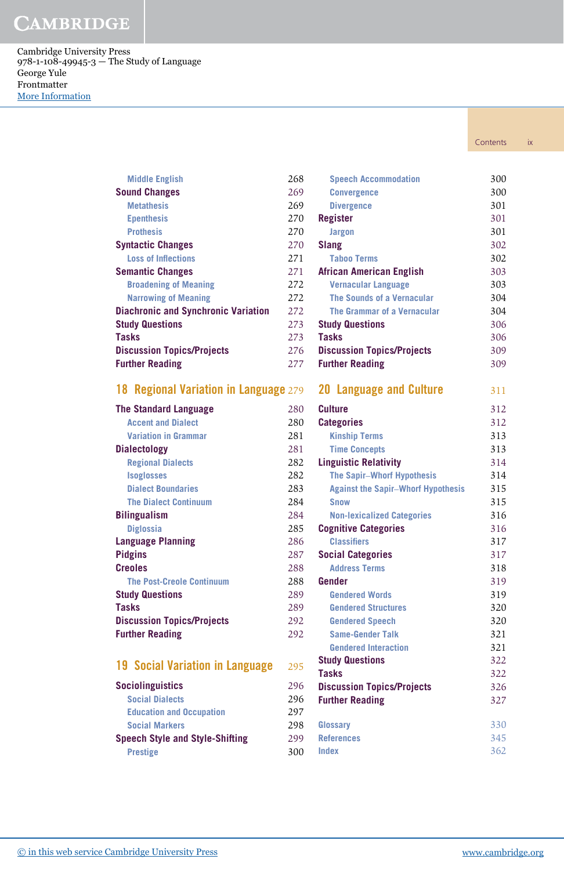Cambridge University Press 978-1-108-49945-3 — The Study of Language George Yule Frontmatter [More Information](www.cambridge.org/9781108499453)

Contents ix

| <b>Middle English</b>                      | 268  |
|--------------------------------------------|------|
| <b>Sound Changes</b>                       | 269  |
| <b>Metathesis</b>                          | 269  |
| <b>Epenthesis</b>                          | 2.70 |
| <b>Prothesis</b>                           | 270  |
| <b>Syntactic Changes</b>                   | 270  |
| <b>Loss of Inflections</b>                 | 2.71 |
| <b>Semantic Changes</b>                    | 2.71 |
| <b>Broadening of Meaning</b>               | 272  |
| <b>Narrowing of Meaning</b>                | 2.72 |
| <b>Diachronic and Synchronic Variation</b> | 2.72 |
| <b>Study Questions</b>                     | 273  |
| <b>Tasks</b>                               | 273  |
| <b>Discussion Topics/Projects</b>          | 276  |
| <b>Further Reading</b>                     | 2.77 |
|                                            |      |

|  |  |  |  | 18 Regional Variation in Language 279 |  |
|--|--|--|--|---------------------------------------|--|
|--|--|--|--|---------------------------------------|--|

| <b>The Standard Language</b>      | 280 |
|-----------------------------------|-----|
| <b>Accent and Dialect</b>         | 280 |
| <b>Variation in Grammar</b>       | 281 |
| <b>Dialectology</b>               | 281 |
| <b>Regional Dialects</b>          | 282 |
| <b>Isoglosses</b>                 | 282 |
| <b>Dialect Boundaries</b>         | 283 |
| <b>The Dialect Continuum</b>      | 284 |
| Bilingualism                      | 284 |
| <b>Diglossia</b>                  | 285 |
| <b>Language Planning</b>          | 286 |
| <b>Pidgins</b>                    | 287 |
| <b>Creoles</b>                    | 288 |
| <b>The Post-Creole Continuum</b>  | 288 |
| <b>Study Questions</b>            | 289 |
| <b>Tasks</b>                      | 289 |
| <b>Discussion Topics/Projects</b> | 292 |
| <b>Further Reading</b>            | 292 |

#### 19 Social Variation in Language 29

| <b>Sociolinguistics</b>                | 296 |
|----------------------------------------|-----|
| <b>Social Dialects</b>                 | 296 |
| <b>Education and Occupation</b>        | 297 |
| <b>Social Markers</b>                  | 298 |
| <b>Speech Style and Style-Shifting</b> | 299 |
| <b>Prestige</b>                        | 300 |
|                                        |     |

| <b>Speech Accommodation</b>               | 300 |
|-------------------------------------------|-----|
| <b>Convergence</b>                        | 300 |
| <b>Divergence</b>                         | 301 |
| <b>Register</b>                           | 301 |
| <b>Jargon</b>                             | 301 |
| <b>Slang</b>                              | 302 |
| <b>Taboo Terms</b>                        | 302 |
| <b>African American English</b>           | 303 |
| <b>Vernacular Language</b>                | 303 |
| The Sounds of a Vernacular                | 304 |
| The Grammar of a Vernacular               | 304 |
| <b>Study Questions</b>                    | 306 |
| <b>Tasks</b>                              | 306 |
| <b>Discussion Topics/Projects</b>         | 309 |
| <b>Further Reading</b>                    | 309 |
| 20<br><b>Language and Culture</b>         | 311 |
| <b>Culture</b>                            | 312 |
| <b>Categories</b>                         | 312 |
| <b>Kinship Terms</b>                      | 313 |
| <b>Time Concepts</b>                      | 313 |
| <b>Linguistic Relativity</b>              | 314 |
| <b>The Sapir-Whorf Hypothesis</b>         | 314 |
| <b>Against the Sapir-Whorf Hypothesis</b> | 315 |
| <b>Snow</b>                               | 315 |
| <b>Non-lexicalized Categories</b>         | 316 |
| <b>Cognitive Categories</b>               | 316 |
| <b>Classifiers</b>                        | 317 |
| <b>Social Categories</b>                  | 317 |
| <b>Address Terms</b>                      | 318 |
| Gender                                    | 319 |
| <b>Gendered Words</b>                     | 319 |
| <b>Gendered Structures</b>                | 320 |
| <b>Gendered Speech</b>                    | 320 |
| <b>Same-Gender Talk</b>                   | 321 |
| <b>Gendered Interaction</b>               | 321 |
| <b>Study Questions</b>                    | 322 |
| <b>Tasks</b>                              | 322 |
| Dicoussion Tonios/Droionte                | 22C |

| 296 | <b>Discussion Topics/Projects</b> | 326  |
|-----|-----------------------------------|------|
| 296 | <b>Further Reading</b>            | 32.7 |
| 297 |                                   |      |
| 298 | Glossary                          | 330  |
| 299 | <b>References</b>                 | 345  |
| 300 | Index                             | 362  |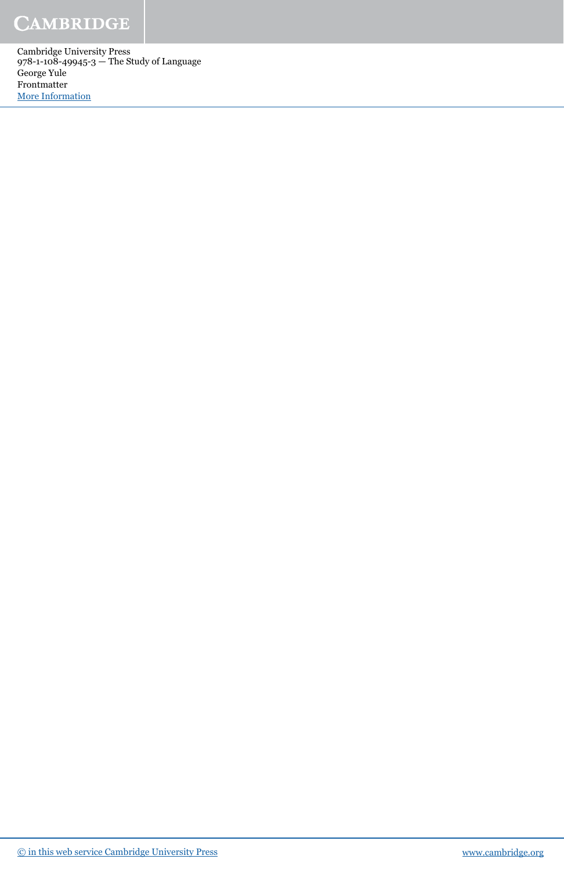Cambridge University Press 978-1-108-49945-3 — The Study of Language George Yule Frontmatter [More Information](www.cambridge.org/9781108499453)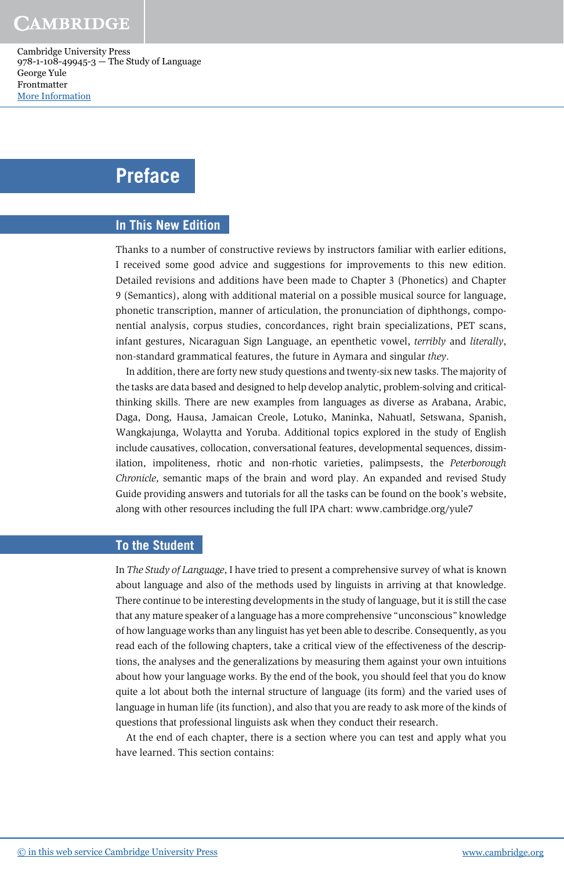# Preface

#### In This New Edition

Thanks to a number of constructive reviews by instructors familiar with earlier editions, I received some good advice and suggestions for improvements to this new edition. Detailed revisions and additions have been made to Chapter 3 (Phonetics) and Chapter 9 (Semantics), along with additional material on a possible musical source for language, phonetic transcription, manner of articulation, the pronunciation of diphthongs, componential analysis, corpus studies, concordances, right brain specializations, PET scans, infant gestures, Nicaraguan Sign Language, an epenthetic vowel, terribly and literally, non-standard grammatical features, the future in Aymara and singular they.

In addition, there are forty new study questions and twenty-six new tasks. The majority of the tasks are data based and designed to help develop analytic, problem-solving and criticalthinking skills. There are new examples from languages as diverse as Arabana, Arabic, Daga, Dong, Hausa, Jamaican Creole, Lotuko, Maninka, Nahuatl, Setswana, Spanish, Wangkajunga, Wolaytta and Yoruba. Additional topics explored in the study of English include causatives, collocation, conversational features, developmental sequences, dissimilation, impoliteness, rhotic and non-rhotic varieties, palimpsests, the Peterborough Chronicle, semantic maps of the brain and word play. An expanded and revised Study Guide providing answers and tutorials for all the tasks can be found on the book's website, along with other resources including the full IPA chart: www.cambridge.org/yule7

#### To the Student

In The Study of Language, I have tried to present a comprehensive survey of what is known about language and also of the methods used by linguists in arriving at that knowledge. There continue to be interesting developments in the study of language, but it is still the case that any mature speaker of a language has a more comprehensive "unconscious" knowledge of how language works than any linguist has yet been able to describe. Consequently, as you read each of the following chapters, take a critical view of the effectiveness of the descriptions, the analyses and the generalizations by measuring them against your own intuitions about how your language works. By the end of the book, you should feel that you do know quite a lot about both the internal structure of language (its form) and the varied uses of language in human life (its function), and also that you are ready to ask more of the kinds of questions that professional linguists ask when they conduct their research.

At the end of each chapter, there is a section where you can test and apply what you have learned. This section contains: